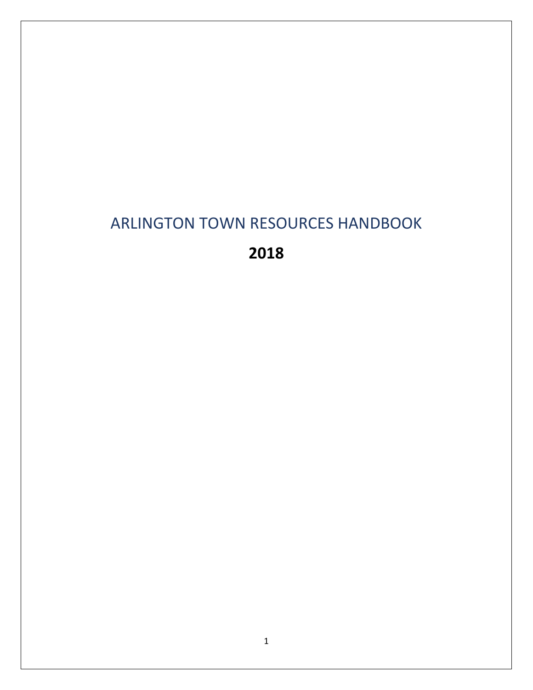# ARLINGTON TOWN RESOURCES HANDBOOK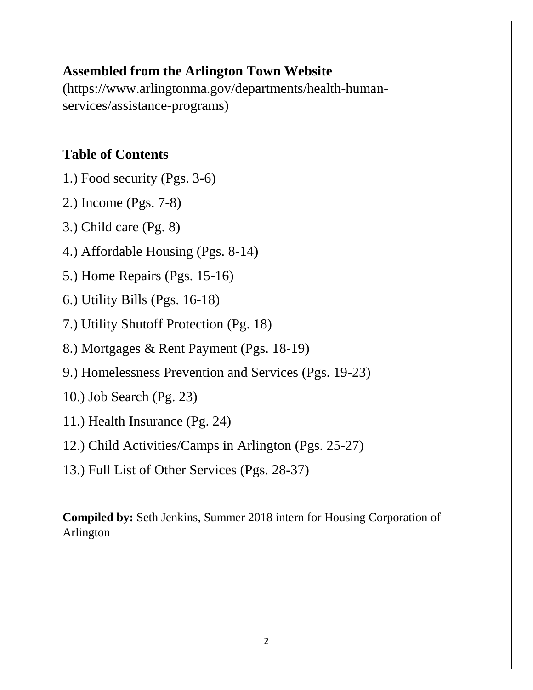# **Assembled from the Arlington Town Website**

[\(https://www.arlingtonma.gov/departments/health-human](https://www.arlingtonma.gov/departments/health-human-services/assistance-programs)[services/assistance-programs\)](https://www.arlingtonma.gov/departments/health-human-services/assistance-programs)

# **Table of Contents**

- 1.) Food security (Pgs. 3-6)
- 2.) Income (Pgs. 7-8)
- 3.) Child care (Pg. 8)
- 4.) Affordable Housing (Pgs. 8-14)
- 5.) Home Repairs (Pgs. 15-16)
- 6.) Utility Bills (Pgs. 16-18)
- 7.) Utility Shutoff Protection (Pg. 18)
- 8.) Mortgages & Rent Payment (Pgs. 18-19)
- 9.) Homelessness Prevention and Services (Pgs. 19-23)
- 10.) Job Search (Pg. 23)
- 11.) Health Insurance (Pg. 24)
- 12.) Child Activities/Camps in Arlington (Pgs. 25-27)
- 13.) Full List of Other Services (Pgs. 28-37)

**Compiled by:** Seth Jenkins, Summer 2018 intern for Housing Corporation of Arlington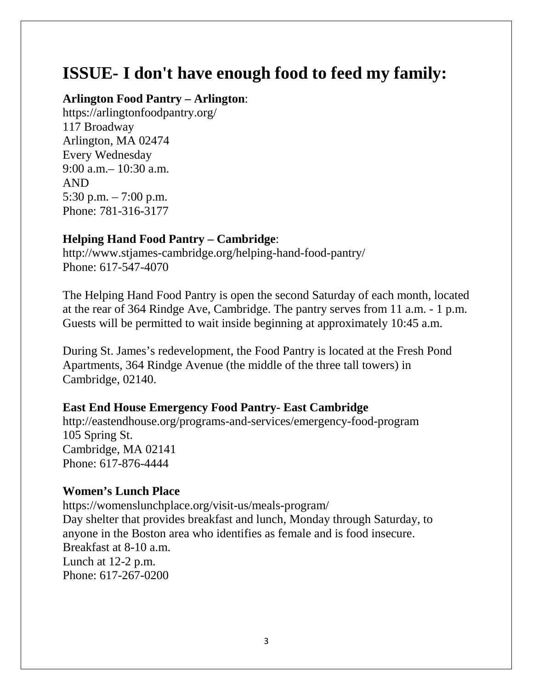# **ISSUE- I don't have enough food to feed my family:**

#### **Arlington Food Pantry – Arlington**:

<https://arlingtonfoodpantry.org/> 117 Broadway Arlington, MA 02474 Every Wednesday 9:00 a.m.– 10:30 a.m. AND 5:30 p.m. – 7:00 p.m. Phone: 781-316-3177

# **Helping Hand Food Pantry – Cambridge**:

<http://www.stjames-cambridge.org/helping-hand-food-pantry/> Phone: 617-547-4070

The Helping Hand Food Pantry is open the second Saturday of each month, located at the rear of 364 Rindge Ave, Cambridge. The pantry serves from 11 a.m. - 1 p.m. Guests will be permitted to wait inside beginning at approximately 10:45 a.m.

During St. James's redevelopment, the Food Pantry is located at the Fresh Pond Apartments, 364 Rindge Avenue (the middle of the three tall towers) in Cambridge, 02140.

## **East End House Emergency Food Pantry- East Cambridge**

<http://eastendhouse.org/programs-and-services/emergency-food-program> 105 Spring St. Cambridge, MA 02141 Phone: 617-876-4444

## **Women's Lunch Place**

https://womenslunchplace.org/visit-us/meals-program/ Day shelter that provides breakfast and lunch, Monday through Saturday, to anyone in the Boston area who identifies as female and is food insecure. Breakfast at 8-10 a.m. Lunch at 12-2 p.m. Phone: 617-267-0200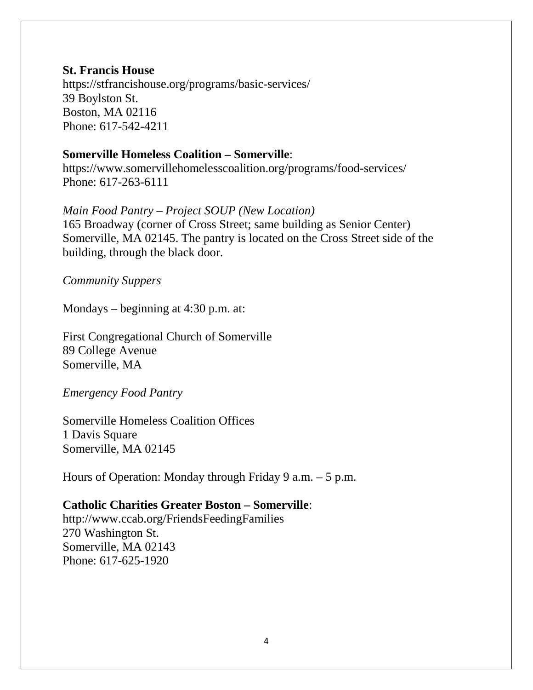#### **St. Francis House**

https://stfrancishouse.org/programs/basic-services/ 39 Boylston St. Boston, MA 02116 Phone: 617-542-4211

#### **Somerville Homeless Coalition – Somerville**:

<https://www.somervillehomelesscoalition.org/programs/food-services/> Phone: 617-263-6111

#### *Main Food Pantry – Project SOUP (New Location)*

165 Broadway (corner of Cross Street; same building as Senior Center) Somerville, MA 02145. The pantry is located on the Cross Street side of the building, through the black door.

*Community Suppers*

Mondays – beginning at 4:30 p.m. at:

First Congregational Church of Somerville 89 College Avenue Somerville, MA

*Emergency Food Pantry*

Somerville Homeless Coalition Offices 1 Davis Square Somerville, MA 02145

Hours of Operation: Monday through Friday 9 a.m. – 5 p.m.

#### **Catholic Charities Greater Boston – Somerville**:

http://www.ccab.org/FriendsFeedingFamilies 270 Washington St. Somerville, MA 02143 Phone: 617-625-1920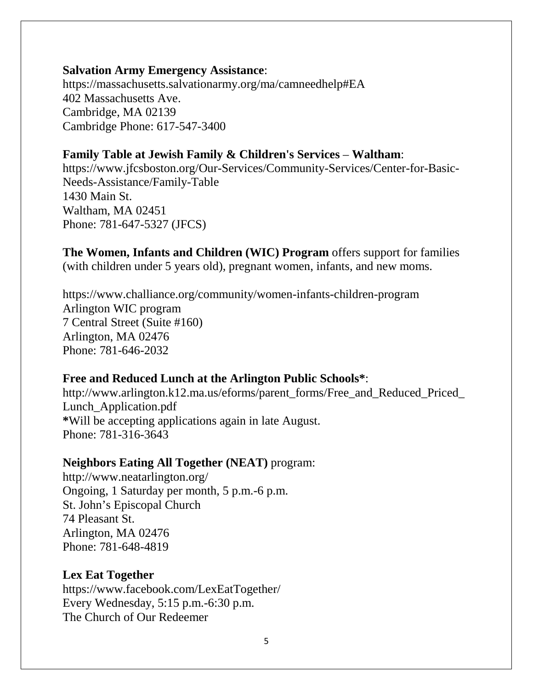#### **Salvation Army Emergency Assistance**:

<https://massachusetts.salvationarmy.org/ma/camneedhelp#EA> 402 Massachusetts Ave. Cambridge, MA 02139 Cambridge Phone: 617-547-3400

# **Family Table at Jewish Family & Children's Services** – **Waltham**:

[https://www.jfcsboston.org/Our-Services/Community-Services/Center-for-Basic-](https://www.jfcsboston.org/Our-Services/Community-Services/Center-for-Basic-Needs-Assistance/Family-Table)[Needs-Assistance/Family-Table](https://www.jfcsboston.org/Our-Services/Community-Services/Center-for-Basic-Needs-Assistance/Family-Table) 1430 Main St. Waltham, MA 02451 Phone: 781-647-5327 (JFCS)

**The Women, Infants and Children (WIC) Program** offers support for families (with children under 5 years old), pregnant women, infants, and new moms.

<https://www.challiance.org/community/women-infants-children-program> Arlington WIC program 7 Central Street (Suite #160) Arlington, MA 02476 Phone: 781-646-2032

# **Free and Reduced Lunch at the Arlington Public Schools\***:

http://www.arlington.k12.ma.us/eforms/parent\_forms/Free\_and\_Reduced\_Priced [Lunch\\_Application.pdf](http://www.arlington.k12.ma.us/eforms/parent_forms/Free_and_Reduced_Priced_Lunch_Application.pdf) **\***Will be accepting applications again in late August. Phone: 781-316-3643

## **Neighbors Eating All Together (NEAT)** program:

http://www.neatarlington.org/ Ongoing, 1 Saturday per month, 5 p.m.-6 p.m. St. John's Episcopal Church 74 Pleasant St. Arlington, MA 02476 Phone: 781-648-4819

## **Lex Eat Together**

https://www.facebook.com/LexEatTogether/ Every Wednesday, 5:15 p.m.-6:30 p.m. The Church of Our Redeemer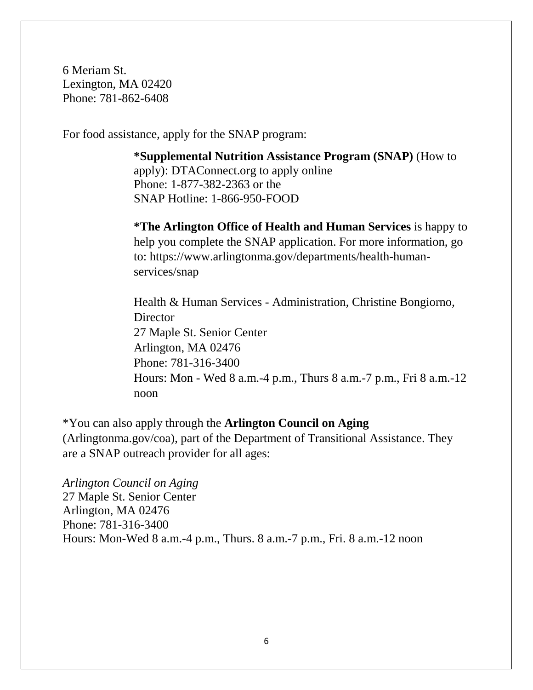6 Meriam St. Lexington, MA 02420 Phone: 781-862-6408

For food assistance, apply for the SNAP program:

**[\\*Supplemental Nutrition Assistance Program \(SNAP\)](https://www.mass.gov/how-to/apply-for-snap-benefits-food-stamps)** (How to apply): DTAConnect.org to apply online Phone: 1-877-382-2363 or the SNAP Hotline: 1-866-950-FOOD

**\*The [Arlington Office of Health and Human Services](https://www.arlingtonma.gov/departments/health-human-services)** is happy to help you complete the SNAP application. For more information, go to: [https://www.arlingtonma.gov/departments/health-human](https://www.arlingtonma.gov/departments/health-human-services/snap)[services/snap](https://www.arlingtonma.gov/departments/health-human-services/snap)

Health & Human Services - Administration, Christine Bongiorno, **Director** 27 Maple St. Senior Center Arlington, MA 02476 Phone: 781-316-3400 Hours: Mon - Wed 8 a.m.-4 p.m., Thurs 8 a.m.-7 p.m., Fri 8 a.m.-12 noon

\*You can also apply through the **Arlington Council on Aging** (Arlingtonma.gov/coa), part of the Department of Transitional Assistance. They are a SNAP outreach provider for all ages:

*Arlington Council on Aging* 27 Maple St. Senior Center Arlington, MA 02476 Phone: 781-316-3400 Hours: Mon-Wed 8 a.m.-4 p.m., Thurs. 8 a.m.-7 p.m., Fri. 8 a.m.-12 noon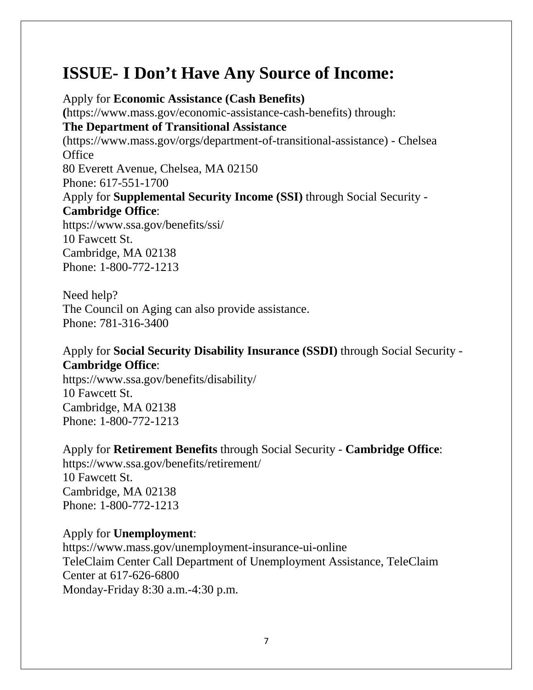# **ISSUE- I Don't Have Any Source of Income:**

Apply for **[Economic Assistance](https://www.mass.gov/economic-assistance-cash-benefits) (Cash Benefits) (**https://www.mass.gov/economic-assistance-cash-benefits) through: **The [Department of Transitional Assistance](http://www.mass.gov/eohhs/gov/departments/dta/)** (https://www.mass.gov/orgs/department-of-transitional-assistance) - [Chelsea](https://eohhs.ehs.state.ma.us/DTAOffices/SearchOffice.aspx)  **[Office](https://eohhs.ehs.state.ma.us/DTAOffices/SearchOffice.aspx)** 80 Everett Avenue, Chelsea, MA 02150 Phone: 617-551-1700 Apply for **[Supplemental Security Income](https://www.ssa.gov/benefits/ssi/) (SSI)** through Social Security - **[Cambridge Office](https://secure.ssa.gov/ICON/ic001.do#officeResults)**: <https://www.ssa.gov/benefits/ssi/> 10 Fawcett St. Cambridge, MA 02138 Phone: 1-800-772-1213

Need help? The Council on Aging can also provide assistance. Phone: 781-316-3400

# Apply for **[Social Security Disability Insurance](https://www.ssa.gov/benefits/disability/) (SSDI)** through Social Security - **[Cambridge Office](https://secure.ssa.gov/ICON/ic001.do#officeResults)**:

<https://www.ssa.gov/benefits/disability/> 10 Fawcett St. Cambridge, MA 02138 Phone: 1-800-772-1213

Apply for **[Retirement Benefits](https://www.ssa.gov/benefits/retirement/)** through Social Security - **[Cambridge Office](https://secure.ssa.gov/ICON/ic001.do#officeResults)**: <https://www.ssa.gov/benefits/retirement/> 10 Fawcett St.

Cambridge, MA 02138 Phone: 1-800-772-1213

## Apply for **[Unemployment](https://www.mass.gov/unemployment-insurance-ui-online)**:

<https://www.mass.gov/unemployment-insurance-ui-online> TeleClaim Center Call Department of Unemployment Assistance, TeleClaim Center at 617-626-6800 Monday-Friday 8:30 a.m.-4:30 p.m.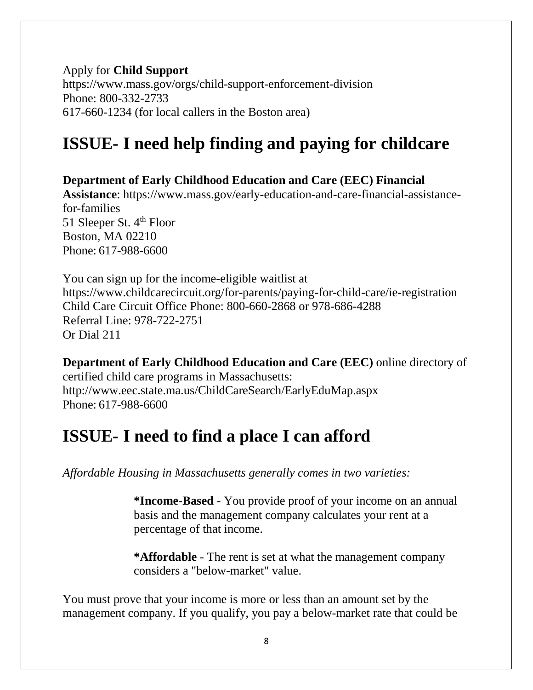Apply for **[Child Support](https://www.mass.gov/orgs/child-support-enforcement-division)** <https://www.mass.gov/orgs/child-support-enforcement-division> Phone: 800-332-2733 617-660-1234 (for local callers in the Boston area)

# **ISSUE- I need help finding and paying for childcare**

**Department of Early Childhood Education and Care (EEC) Financial Assistance**: https://www.mass.gov/early-education-and-care-financial-assistancefor-families 51 Sleeper St. 4<sup>th</sup> Floor Boston, MA 02210 Phone: 617-988-6600

You can sign up for the income-eligible waitlist at <https://www.childcarecircuit.org/for-parents/paying-for-child-care/ie-registration> Child Care Circuit Office Phone: 800-660-2868 or 978-686-4288 Referral Line: 978-722-2751 Or Dial 211

**Department of Early Childhood Education and Care (EEC)** online directory of certified child care programs in Massachusetts: <http://www.eec.state.ma.us/ChildCareSearch/EarlyEduMap.aspx> Phone: 617-988-6600

# **ISSUE- I need to find a place I can afford**

*Affordable Housing in Massachusetts generally comes in two varieties:*

**\*Income-Based** - You provide proof of your income on an annual basis and the management company calculates your rent at a percentage of that income.

**\*Affordable** - The rent is set at what the management company considers a "below-market" value.

You must prove that your income is more or less than an amount set by the management company. If you qualify, you pay a below-market rate that could be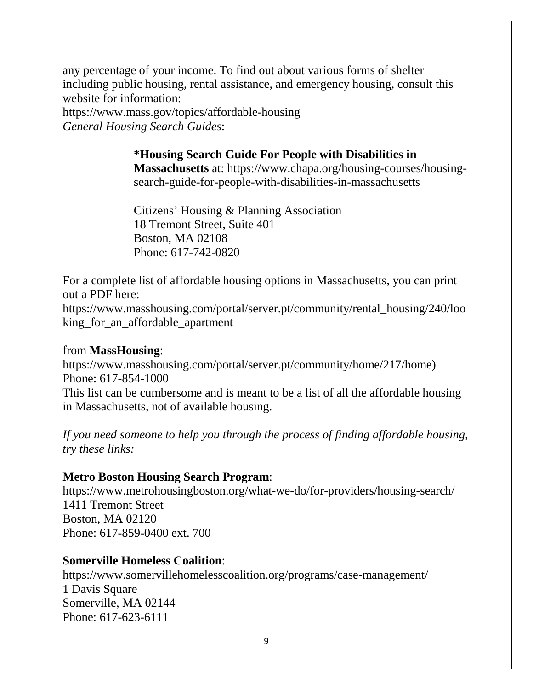any percentage of your income. To find out about various forms of shelter including public housing, rental assistance, and emergency housing, consult this website for information:

<https://www.mass.gov/topics/affordable-housing> *General Housing Search Guides*:

# **\*Housing Search Guide For People with Disabilities in**

**Massachusetts** at: [https://www.chapa.org/housing-courses/housing](https://www.chapa.org/housing-courses/housing-search-guide-for-people-with-disabilities-in-massachusetts)[search-guide-for-people-with-disabilities-in-massachusetts](https://www.chapa.org/housing-courses/housing-search-guide-for-people-with-disabilities-in-massachusetts)

Citizens' Housing & Planning Association 18 Tremont Street, Suite 401 Boston, MA 02108 Phone: 617-742-0820

For a complete list of affordable housing options in Massachusetts, you can print out a PDF here:

[https://www.masshousing.com/portal/server.pt/community/rental\\_housing/240/loo](https://www.masshousing.com/portal/server.pt/community/rental_housing/240/looking_for_an_affordable_apartment) [king\\_for\\_an\\_affordable\\_apartment](https://www.masshousing.com/portal/server.pt/community/rental_housing/240/looking_for_an_affordable_apartment)

### from **MassHousing**:

[https://www.masshousing.com/portal/server.pt/community/home/217/home\)](https://www.masshousing.com/portal/server.pt/community/home/217/home) Phone: 617-854-1000

This list can be cumbersome and is meant to be a list of all the affordable housing in Massachusetts, not of available housing.

*If you need someone to help you through the process of finding affordable housing, try these links:*

## **Metro Boston Housing Search Program**:

[https://www.metrohousingboston.org/what-we-do/for-p](https://www.metrohousingboston.org/what-we-do/for-)roviders/housing-search/ 1411 Tremont Street Boston, MA 02120 Phone: 617-859-0400 ext. 700

## **Somerville Homeless Coalition**:

<https://www.somervillehomelesscoalition.org/programs/case-management/> 1 Davis Square Somerville, MA 02144 Phone: 617-623-6111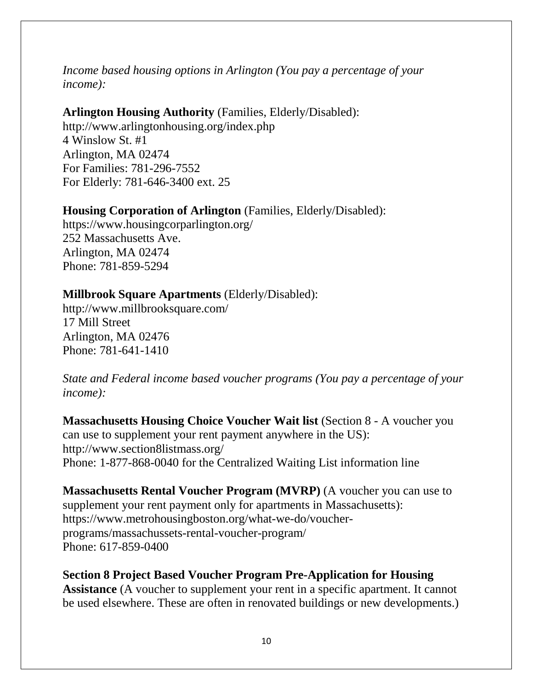*Income based housing options in Arlington (You pay a percentage of your income):*

### **Arlington Housing Authority** (Families, Elderly/Disabled):

<http://www.arlingtonhousing.org/index.php> 4 Winslow St. #1 Arlington, MA 02474 For Families: 781-296-7552 For Elderly: 781-646-3400 ext. 25

## **Housing Corporation of Arlington** (Families, Elderly/Disabled):

<https://www.housingcorparlington.org/> 252 Massachusetts Ave. Arlington, MA 02474 Phone: 781-859-5294

# **Millbrook Square Apartments** (Elderly/Disabled):

<http://www.millbrooksquare.com/> 17 Mill Street Arlington, MA 02476 Phone: 781-641-1410

*State and Federal income based voucher programs (You pay a percentage of your income):* 

**Massachusetts Housing Choice Voucher Wait list** (Section 8 - A voucher you can use to supplement your rent payment anywhere in the US): <http://www.section8listmass.org/> Phone: 1-877-868-0040 for the Centralized Waiting List information line

**Massachusetts Rental Voucher Program (MVRP)** (A voucher you can use to supplement your rent payment only for apartments in Massachusetts): [https://www.metrohousingboston.org/what-we-do/voucher](https://www.metrohousingboston.org/what-we-do/voucher-programs/massachussets-rental-voucher-program/)[programs/massachussets-rental-voucher-program/](https://www.metrohousingboston.org/what-we-do/voucher-programs/massachussets-rental-voucher-program/) Phone: 617-859-0400

**Section 8 Project Based Voucher Program Pre-Application for Housing Assistance** (A voucher to supplement your rent in a specific apartment. It cannot be used elsewhere. These are often in renovated buildings or new developments.)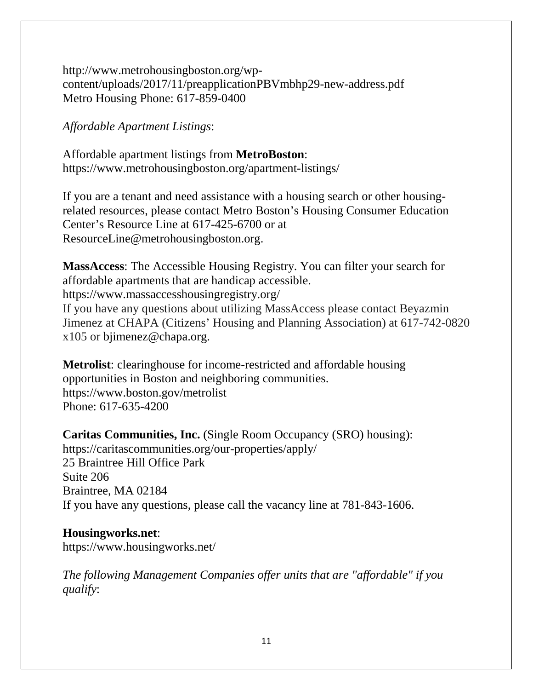[http://www.metrohousingboston.org/wp](http://www.metrohousingboston.org/wp-content/uploads/2017/11/preapplicationPBVmbhp29-new-address.pdf)[content/uploads/2017/11/preapplicationPBVmbhp29-new-address.pdf](http://www.metrohousingboston.org/wp-content/uploads/2017/11/preapplicationPBVmbhp29-new-address.pdf) Metro Housing Phone: 617-859-0400

*Affordable Apartment Listings*:

Affordable apartment listings from **MetroBoston**: <https://www.metrohousingboston.org/apartment-listings/>

If you are a tenant and need assistance with a housing search or other housingrelated resources, please contact Metro Boston's Housing Consumer Education Center's Resource Line at 617-425-6700 or at ResourceLine@metrohousingboston.org.

**MassAccess**: The Accessible Housing Registry. You can filter your search for affordable apartments that are handicap accessible. <https://www.massaccesshousingregistry.org/> If you have any questions about utilizing MassAccess please contact Beyazmin Jimenez at CHAPA (Citizens' Housing and Planning Association) at 617-742-0820 x105 or [bjimenez@chapa.org.](mailto:bjimenez@chapa.org)

**Metrolist**: clearinghouse for income-restricted and affordable housing opportunities in Boston and neighboring communities. <https://www.boston.gov/metrolist> Phone: 617-635-4200

**Caritas Communities, Inc.** (Single Room Occupancy (SRO) housing): <https://caritascommunities.org/our-properties/apply/> 25 Braintree Hill Office Park Suite 206 Braintree, MA 02184 If you have any questions, please call the vacancy line at 781-843-1606.

# **Housingworks.net**:

<https://www.housingworks.net/>

*The following Management Companies offer units that are "affordable" if you qualify*: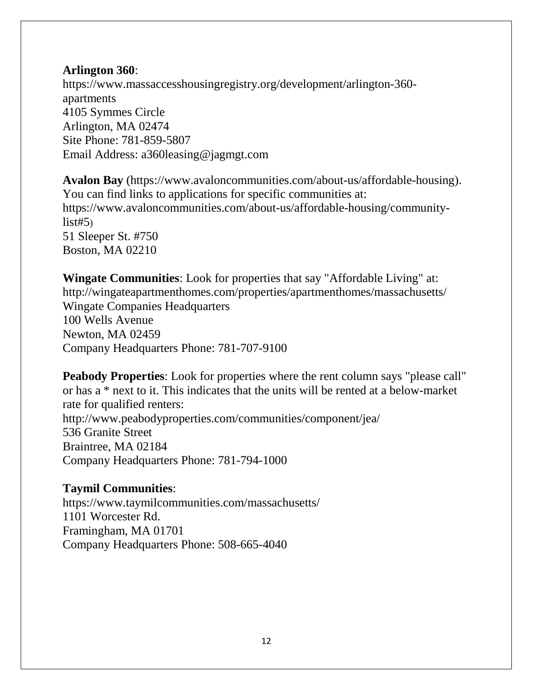# **Arlington 360**:

[https://www.massaccesshousingregistry.org/development/arlington-360](https://www.massaccesshousingregistry.org/development/arlington-360-apartments) [apartments](https://www.massaccesshousingregistry.org/development/arlington-360-apartments) 4105 Symmes Circle Arlington, MA 02474 Site Phone: 781-859-5807 Email Address: [a360leasing@jagmgt.com](mailto:a360leasing@jagmgt.com)

**Avalon Bay** [\(https://www.avaloncommunities.com/about-us/affordable-housing\)](https://www.avaloncommunities.com/about-us/affordable-housing). You can find links to applications for specific communities at: [https://www.avaloncommunities.com/about-us/affordable-housing/community](https://www.avaloncommunities.com/about-us/affordable-housing/community-list#5) $list#5)$ 51 Sleeper St. #750 Boston, MA 02210

**Wingate Communities**: Look for properties that say "Affordable Living" at: <http://wingateapartmenthomes.com/properties/apartmenthomes/massachusetts/> Wingate Companies Headquarters 100 Wells Avenue Newton, MA 02459 Company Headquarters Phone: 781-707-9100

**Peabody Properties**: Look for properties where the rent column says "please call" or has a \* next to it. This indicates that the units will be rented at a below-market rate for qualified renters: <http://www.peabodyproperties.com/communities/component/jea/> 536 Granite Street Braintree, MA 02184 Company Headquarters Phone: 781-794-1000

## **Taymil Communities**:

<https://www.taymilcommunities.com/massachusetts/> 1101 Worcester Rd. Framingham, MA 01701 Company Headquarters Phone: 508-665-4040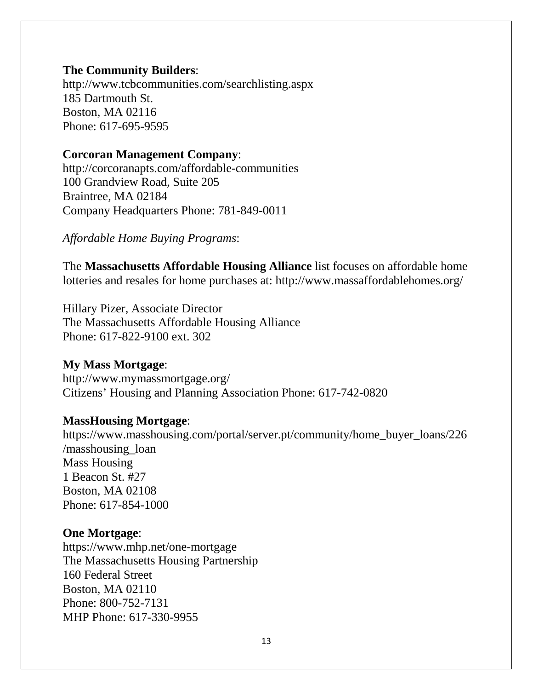### **The Community Builders**:

<http://www.tcbcommunities.com/searchlisting.aspx> 185 Dartmouth St. Boston, MA 02116 Phone: 617-695-9595

#### **Corcoran Management Company**:

<http://corcoranapts.com/affordable-communities> 100 Grandview Road, Suite 205 Braintree, MA 02184 Company Headquarters Phone: 781-849-0011

*Affordable Home Buying Programs*:

The **Massachusetts Affordable Housing Alliance** list focuses on affordable home lotteries and resales for home purchases at: <http://www.massaffordablehomes.org/>

Hillary Pizer, Associate Director The Massachusetts Affordable Housing Alliance Phone: 617-822-9100 ext. 302

# **My Mass Mortgage**:

<http://www.mymassmortgage.org/> Citizens' Housing and Planning Association Phone: 617-742-0820

#### **MassHousing Mortgage**:

https://www.masshousing.com/portal/server.pt/community/home\_buyer\_loans/226 /masshousing\_loan Mass Housing 1 Beacon St. #27 Boston, MA 02108 Phone: 617-854-1000

#### **One Mortgage**:

<https://www.mhp.net/one-mortgage> The Massachusetts Housing Partnership 160 Federal Street Boston, MA 02110 Phone: 800-752-7131 MHP Phone: 617-330-9955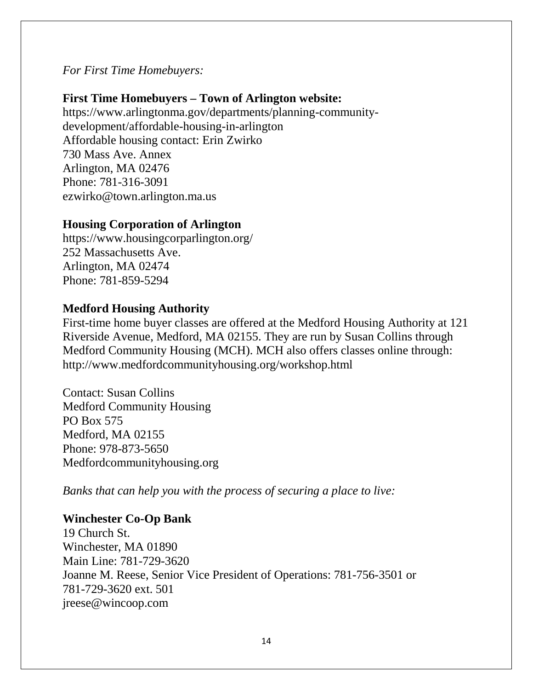*For First Time Homebuyers:*

# **First Time Homebuyers – Town of Arlington website:**

https://www.arlingtonma.gov/departments/planning-communitydevelopment/affordable-housing-in-arlington Affordable housing contact: Erin Zwirko 730 Mass Ave. Annex Arlington, MA 02476 Phone: 781-316-3091 [ezwirko@town.arlington.ma.us](mailto:ezwirko@town.arlington.ma.us)

## **Housing Corporation of Arlington**

<https://www.housingcorparlington.org/> 252 Massachusetts Ave. Arlington, MA 02474 Phone: 781-859-5294

# **Medford Housing Authority**

First-time home buyer classes are offered at the Medford Housing Authority at 121 Riverside Avenue, Medford, MA 02155. They are run by Susan Collins through Medford Community Housing (MCH). MCH also offers classes online through: http://www.medfordcommunityhousing.org/workshop.html

Contact: Susan Collins Medford Community Housing PO Box 575 Medford, MA 02155 Phone: 978-873-5650 Medfordcommunityhousing.org

*Banks that can help you with the process of securing a place to live:*

## **Winchester Co-Op Bank**

19 Church St. Winchester, MA 01890 Main Line: 781-729-3620 Joanne M. Reese, Senior Vice President of Operations: 781-756-3501 or 781-729-3620 ext. 501 [jreese@wincoop.com](mailto:jreese@wincoop.com)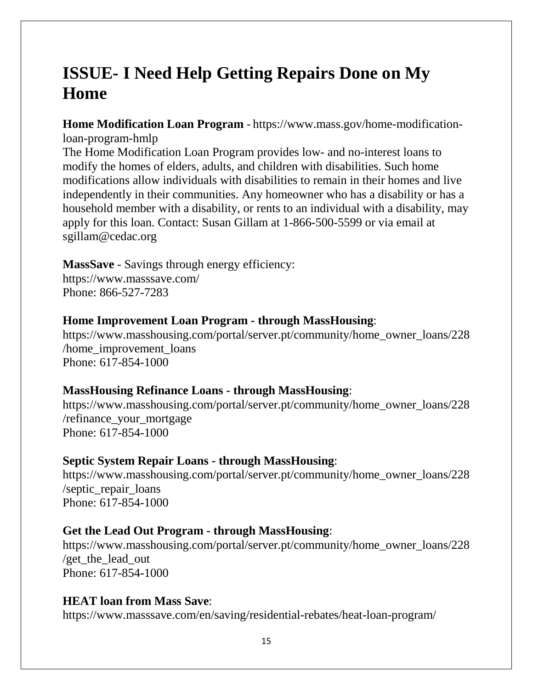# **ISSUE- I Need Help Getting Repairs Done on My Home**

**Home Modification Loan Program** - [https://www.mass.gov/home-modification](https://www.mass.gov/home-modification-loan-program-hmlp)[loan-program-hmlp](https://www.mass.gov/home-modification-loan-program-hmlp)

The Home Modification Loan Program provides low- and no-interest loans to modify the homes of elders, adults, and children with disabilities. Such home modifications allow individuals with disabilities to remain in their homes and live independently in their communities. Any homeowner who has a disability or has a household member with a disability, or rents to an individual with a disability, may apply for this loan. Contact: Susan Gillam at 1-866-500-5599 or via email at sgillam@cedac.org

### **MassSave** - Savings through energy efficiency:

<https://www.masssave.com/> Phone: 866-527-7283

#### **Home Improvement Loan Program - through MassHousing**:

[https://www.masshousing.com/portal/server.pt/community/home\\_owner\\_loans/228](https://www.masshousing.com/portal/server.pt/community/home_owner_loans/228/home_improvement_loans) [/home\\_improvement\\_loans](https://www.masshousing.com/portal/server.pt/community/home_owner_loans/228/home_improvement_loans) Phone: 617-854-1000

#### **MassHousing Refinance Loans - through MassHousing**:

[https://www.masshousing.com/portal/server.pt/community/home\\_owner\\_loans/228](https://www.masshousing.com/portal/server.pt/community/home_owner_loans/228/refinance_your_mortgage) [/refinance\\_your\\_mortgage](https://www.masshousing.com/portal/server.pt/community/home_owner_loans/228/refinance_your_mortgage) Phone: 617-854-1000

#### **Septic System Repair Loans - through MassHousing**:

[https://www.masshousing.com/portal/server.pt/community/home\\_owner\\_loans/228](https://www.masshousing.com/portal/server.pt/community/home_owner_loans/228/septic_repair_loans) [/septic\\_repair\\_loans](https://www.masshousing.com/portal/server.pt/community/home_owner_loans/228/septic_repair_loans) Phone: 617-854-1000

#### **Get the Lead Out Program - through MassHousing**:

[https://www.masshousing.com/portal/server.pt/community/home\\_owner\\_loans/228](https://www.masshousing.com/portal/server.pt/community/home_owner_loans/228/get_the_lead_out) /get the lead out Phone: 617-854-1000

#### **HEAT loan from Mass Save**:

<https://www.masssave.com/en/saving/residential-rebates/heat-loan-program/>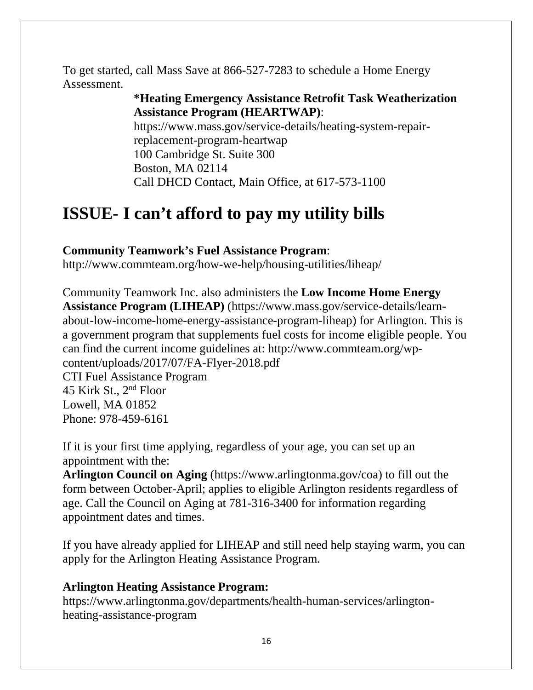To get started, call Mass Save at 866-527-7283 to schedule a Home Energy Assessment.

# **\*Heating Emergency Assistance Retrofit Task Weatherization Assistance Program (HEARTWAP)**:

https://www.mass.gov/service-details/heating-system-repairreplacement-program-heartwap 100 Cambridge St. Suite 300 Boston, MA 02114 Call DHCD Contact, Main Office, at 617-573-1100

# **ISSUE- I can't afford to pay my utility bills**

# **Community Teamwork's Fuel Assistance Program**:

<http://www.commteam.org/how-we-help/housing-utilities/liheap/>

Community Teamwork Inc. also administers the **Low Income Home Energy Assistance Program (LIHEAP)** (https://www.mass.gov/service-details/learnabout-low-income-home-energy-assistance-program-liheap) for Arlington. This is a government program that supplements fuel costs for income eligible people. You can find the current income guidelines at: [http://www.commteam.org/wp](http://www.commteam.org/wp-content/uploads/2017/07/FA-Flyer-2018.pdf)[content/uploads/2017/07/FA-Flyer-2018.pdf](http://www.commteam.org/wp-content/uploads/2017/07/FA-Flyer-2018.pdf) CTI Fuel Assistance Program 45 Kirk St., 2nd Floor

Lowell, MA 01852 Phone: 978-459-6161

If it is your first time applying, regardless of your age, you can set up an appointment with the:

**Arlington Council on Aging** [\(https://www.arlingtonma.gov/coa\)](https://www.arlingtonma.gov/coa) to fill out the form between October-April; applies to eligible Arlington residents regardless of age. Call the Council on Aging at 781-316-3400 for information regarding appointment dates and times.

If you have already applied for LIHEAP and still need help staying warm, you can apply for the Arlington Heating Assistance Program.

# **Arlington Heating Assistance Program:**

[https://www.arlingtonma.gov/departments/health-human-services/arlington](https://www.arlingtonma.gov/departments/health-human-services/arlington-heating-assistance-program)[heating-assistance-program](https://www.arlingtonma.gov/departments/health-human-services/arlington-heating-assistance-program)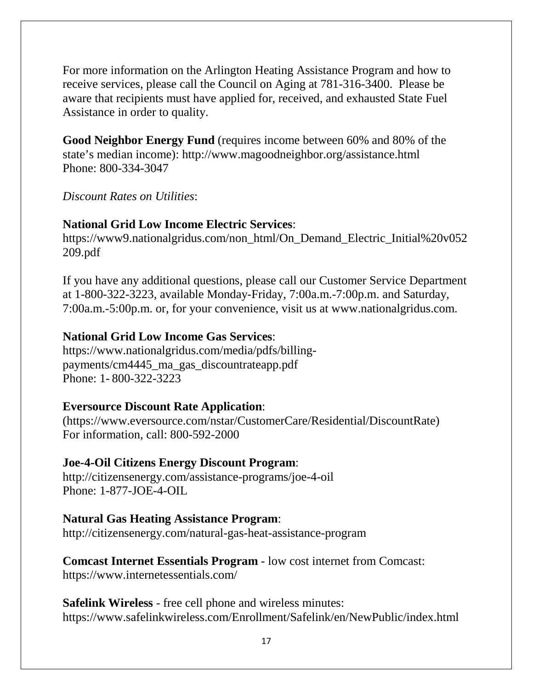For more information on the Arlington Heating Assistance Program and how to receive services, please call the Council on Aging at 781-316-3400. Please be aware that recipients must have applied for, received, and exhausted State Fuel Assistance in order to quality.

**Good Neighbor Energy Fund** (requires income between 60% and 80% of the state's median income): <http://www.magoodneighbor.org/assistance.html> Phone: 800-334-3047

*Discount Rates on Utilities*:

# **National Grid Low Income Electric Services**:

[https://www9.nationalgridus.com/non\\_html/On\\_Demand\\_Electric\\_Initial%20v052](https://www9.nationalgridus.com/non_html/On_Demand_Electric_Initial%20v052209.pdf) [209.pdf](https://www9.nationalgridus.com/non_html/On_Demand_Electric_Initial%20v052209.pdf)

If you have any additional questions, please call our Customer Service Department at 1-800-322-3223, available Monday-Friday, 7:00a.m.-7:00p.m. and Saturday, 7:00a.m.-5:00p.m. or, for your convenience, visit us at www.nationalgridus.com.

# **National Grid Low Income Gas Services**:

https://www.nationalgridus.com/media/pdfs/billingpayments/cm4445\_ma\_gas\_discountrateapp.pdf Phone: 1- 800-322-3223

# **Eversource Discount Rate Application**:

[\(https://www.eversource.com/nstar/CustomerCare/Residential/DiscountRate\)](https://www.eversource.com/nstar/CustomerCare/Residential/DiscountRate) For information, call: 800-592-2000

# **Joe-4-Oil Citizens Energy Discount Program**:

<http://citizensenergy.com/assistance-programs/joe-4-oil> Phone: 1-877-JOE-4-OIL

## **Natural Gas Heating Assistance Program**:

http://citizensenergy.com/natural-gas-heat-assistance-program

**Comcast Internet Essentials Program** - low cost internet from Comcast: https://www.internetessentials.com/

**Safelink Wireless** - free cell phone and wireless minutes: <https://www.safelinkwireless.com/Enrollment/Safelink/en/NewPublic/index.html>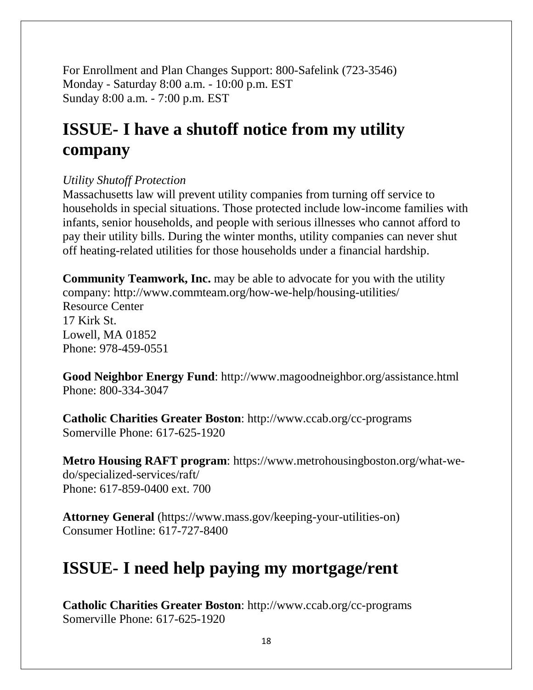For Enrollment and Plan Changes Support: 800-Safelink (723-3546) Monday - Saturday 8:00 a.m. - 10:00 p.m. EST Sunday 8:00 a.m. - 7:00 p.m. EST

# **ISSUE- I have a shutoff notice from my utility company**

# *Utility Shutoff Protection*

Massachusetts law will prevent utility companies from turning off service to households in special situations. Those protected include low-income families with infants, senior households, and people with serious illnesses who cannot afford to pay their utility bills. During the winter months, utility companies can never shut off heating-related utilities for those households under a financial hardship.

**Community Teamwork, Inc.** may be able to advocate for you with the utility company: <http://www.commteam.org/how-we-help/housing-utilities/> Resource Center 17 Kirk St. Lowell, MA 01852 Phone: 978-459-0551

**Good Neighbor Energy Fund**: http://www.magoodneighbor.org/assistance.html Phone: 800-334-3047

**Catholic Charities Greater Boston**:<http://www.ccab.org/cc-programs> Somerville Phone: 617-625-1920

**Metro Housing RAFT program**: https://www.metrohousingboston.org/what-wedo/specialized-services/raft/ Phone: 617-859-0400 ext. 700

**Attorney General** [\(https://www.mass.gov/keeping-your-utilities-o](https://www.mass.gov/keeping-your-utilities-)n) Consumer Hotline: 617-727-8400

# **ISSUE- I need help paying my mortgage/rent**

**Catholic Charities Greater Boston**:<http://www.ccab.org/cc-programs> Somerville Phone: 617-625-1920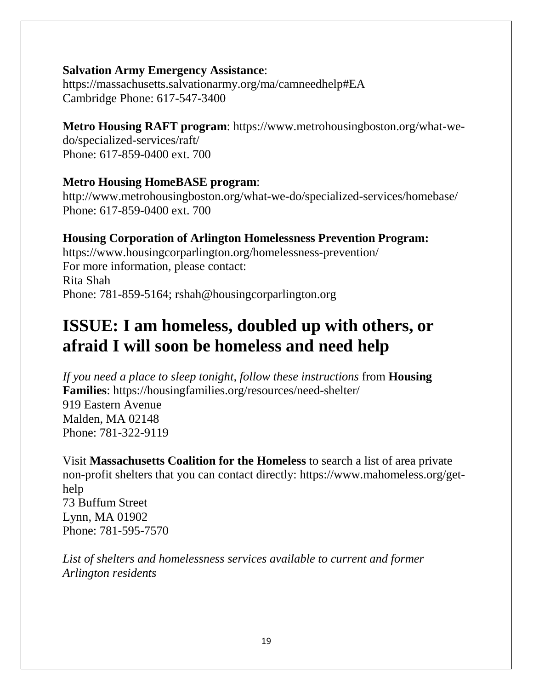### **Salvation Army Emergency Assistance**:

https://massachusetts.salvationarmy.org/ma/camneedhelp#EA Cambridge Phone: 617-547-3400

# **Metro Housing RAFT program**: https://www.metrohousingboston.org/what-we-

do/specialized-services/raft/ Phone: 617-859-0400 ext. 700

# **Metro Housing HomeBASE program**:

http://www.metrohousingboston.org/what-we-do/specialized-services/homebase/ Phone: 617-859-0400 ext. 700

# **Housing Corporation of Arlington Homelessness Prevention Program:**

<https://www.housingcorparlington.org/homelessness-prevention/> For more information, please contact: Rita Shah Phone: 781-859-5164; rshah@housingcorparlington.org

# **ISSUE: I am homeless, doubled up with others, or afraid I will soon be homeless and need help**

*If you need a place to sleep tonight, follow these instructions* from **Housing Families**:<https://housingfamilies.org/resources/need-shelter/>

919 Eastern Avenue Malden, MA 02148 Phone: 781-322-9119

Visit **Massachusetts Coalition for the Homeless** to search a list of area private non-profit shelters that you can contact directly: [https://www.mahomeless.org/get](https://www.mahomeless.org/get-help)[help](https://www.mahomeless.org/get-help) 73 Buffum Street Lynn, MA 01902 Phone: 781-595-7570

*List of shelters and homelessness services available to current and former Arlington residents*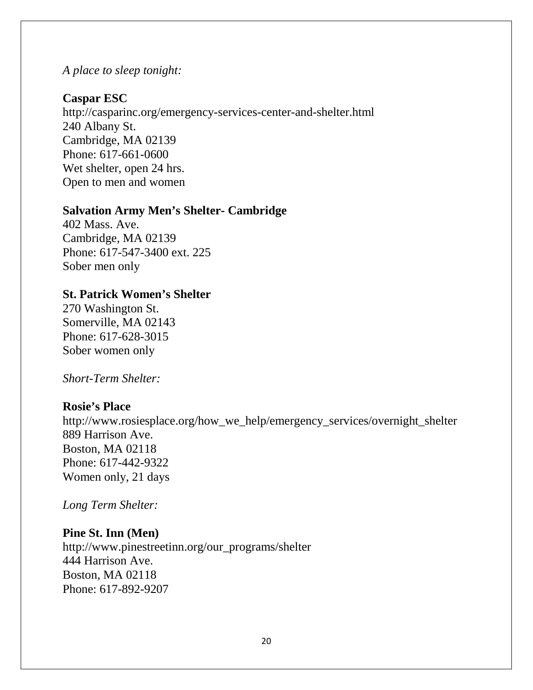### *A place to sleep tonight:*

### **Caspar ESC**

http://casparinc.org/emergency-services-center-and-shelter.html 240 Albany St. Cambridge, MA 02139 Phone: 617-661-0600 Wet shelter, open 24 hrs. Open to men and women

#### **Salvation Army Men's Shelter- Cambridge**

402 Mass. Ave. Cambridge, MA 02139 Phone: 617-547-3400 ext. 225 Sober men only

#### **St. Patrick Women's Shelter**

270 Washington St. Somerville, MA 02143 Phone: 617-628-3015 Sober women only

*Short-Term Shelter:*

#### **Rosie's Place**

http://www.rosiesplace.org/how\_we\_help/emergency\_services/overnight\_shelter 889 Harrison Ave. Boston, MA 02118 Phone: 617-442-9322 Women only, 21 days

*Long Term Shelter:*

#### **Pine St. Inn (Men)**

http://www.pinestreetinn.org/our\_programs/shelter 444 Harrison Ave. Boston, MA 02118 Phone: 617-892-9207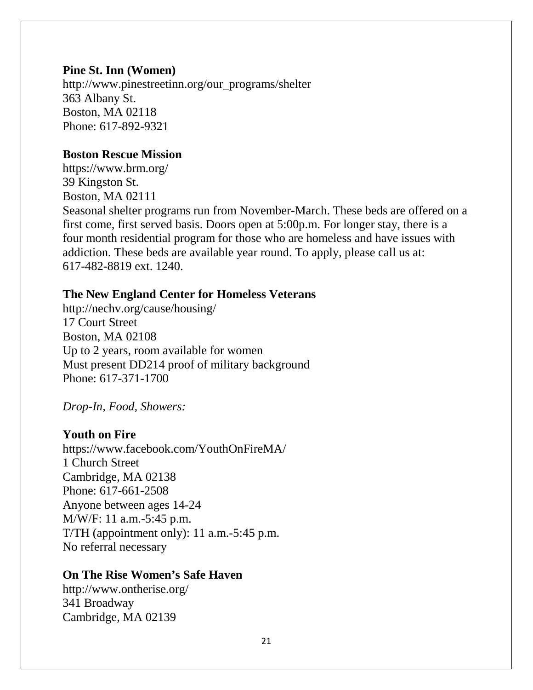#### **Pine St. Inn (Women)**

http://www.pinestreetinn.org/our\_programs/shelter 363 Albany St. Boston, MA 02118 Phone: 617-892-9321

### **Boston Rescue Mission**

https://www.brm.org/ 39 Kingston St. Boston, MA 02111 Seasonal shelter programs run from November-March. These beds are offered on a first come, first served basis. Doors open at 5:00p.m. For longer stay, there is a four month residential program for those who are homeless and have issues with addiction. These beds are available year round. To apply, please call us at: 617-482-8819 ext. 1240.

### **The New England Center for Homeless Veterans**

http://nechv.org/cause/housing/ 17 Court Street Boston, MA 02108 Up to 2 years, room available for women Must present DD214 proof of military background Phone: 617-371-1700

*Drop-In, Food, Showers:*

#### **Youth on Fire**

https://www.facebook.com/YouthOnFireMA/ 1 Church Street Cambridge, MA 02138 Phone: 617-661-2508 Anyone between ages 14-24 M/W/F: 11 a.m.-5:45 p.m. T/TH (appointment only): 11 a.m.-5:45 p.m. No referral necessary

## **On The Rise Women's Safe Haven**

http://www.ontherise.org/ 341 Broadway Cambridge, MA 02139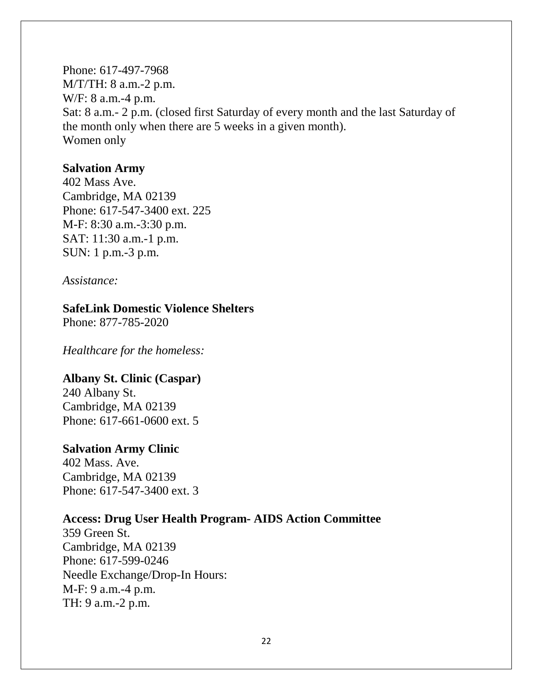Phone: 617-497-7968 M/T/TH: 8 a.m.-2 p.m. W/F: 8 a.m.-4 p.m. Sat: 8 a.m.- 2 p.m. (closed first Saturday of every month and the last Saturday of the month only when there are 5 weeks in a given month). Women only

#### **Salvation Army**

402 Mass Ave. Cambridge, MA 02139 Phone: 617-547-3400 ext. 225 M-F: 8:30 a.m.-3:30 p.m. SAT: 11:30 a.m.-1 p.m. SUN: 1 p.m.-3 p.m.

*Assistance:*

### **SafeLink Domestic Violence Shelters**

Phone: 877-785-2020

*Healthcare for the homeless:*

#### **Albany St. Clinic (Caspar)**

240 Albany St. Cambridge, MA 02139 Phone: 617-661-0600 ext. 5

#### **Salvation Army Clinic**

402 Mass. Ave. Cambridge, MA 02139 Phone: 617-547-3400 ext. 3

#### **Access: Drug User Health Program- AIDS Action Committee**

359 Green St. Cambridge, MA 02139 Phone: 617-599-0246 Needle Exchange/Drop-In Hours: M-F: 9 a.m.-4 p.m. TH: 9 a.m.-2 p.m.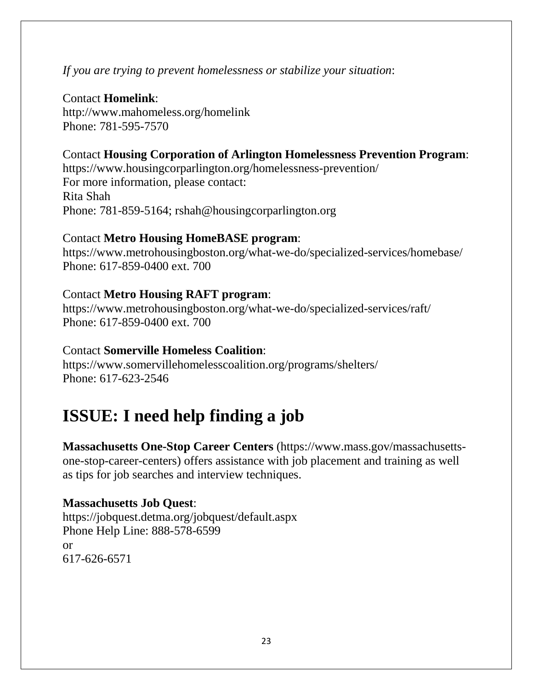# *If you are trying to prevent homelessness or stabilize your situation*:

## Contact **Homelink**:

<http://www.mahomeless.org/homelink> Phone: 781-595-7570

## Contact **Housing Corporation of Arlington Homelessness Prevention Program**:

<https://www.housingcorparlington.org/homelessness-prevention/> For more information, please contact: Rita Shah Phone: 781-859-5164; rshah@housingcorparlington.org

#### Contact **Metro Housing HomeBASE program**:

<https://www.metrohousingboston.org/what-we-do/specialized-services/homebase/> Phone: 617-859-0400 ext. 700

### Contact **Metro Housing RAFT program**:

https://www.metrohousingboston.org/what-we-do/specialized-services/raft/ Phone: 617-859-0400 ext. 700

### Contact **Somerville Homeless Coalition**:

<https://www.somervillehomelesscoalition.org/programs/shelters/> Phone: 617-623-2546

# **ISSUE: I need help finding a job**

**Massachusetts One-Stop Career Centers** (https://www.mass.gov/massachusettsone-stop-career-centers) offers assistance with job placement and training as well as tips for job searches and interview techniques.

## **Massachusetts Job Quest**:

<https://jobquest.detma.org/jobquest/default.aspx> Phone Help Line: 888-578-6599 or 617-626-6571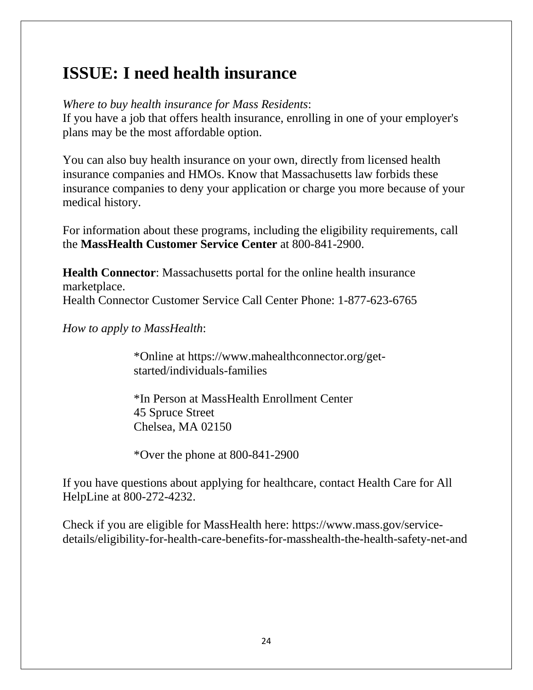# **ISSUE: I need health insurance**

*Where to buy health insurance for Mass Residents*:

If you have a job that offers health insurance, enrolling in one of your employer's plans may be the most affordable option.

You can also buy health insurance on your own, directly from licensed health insurance companies and HMOs. Know that Massachusetts law forbids these insurance companies to deny your application or charge you more because of your medical history.

For information about these programs, including the eligibility requirements, call the **MassHealth Customer Service Center** at 800-841-2900.

**Health Connector**: Massachusetts portal for the online health insurance marketplace. Health Connector Customer Service Call Center Phone: 1-877-623-6765

*How to apply to MassHealth*:

\*Online at [https://www.mahealthconnector.org/get](https://www.mahealthconnector.org/get-)started/individuals-families

\*In Person at MassHealth Enrollment Center 45 Spruce Street Chelsea, MA 02150

\*Over the phone at 800-841-2900

If you have questions about applying for healthcare, contact Health Care for All HelpLine at 800-272-4232.

Check if you are eligible for MassHealth here: [https://www.mass.gov/service](https://www.mass.gov/service-details/eligibility-for-health-care-benefits-for-masshealth-the-health-safety-net-and)[details/eligibility-for-health-care-benefits-for-masshealth-the-health-safety-net-and](https://www.mass.gov/service-details/eligibility-for-health-care-benefits-for-masshealth-the-health-safety-net-and)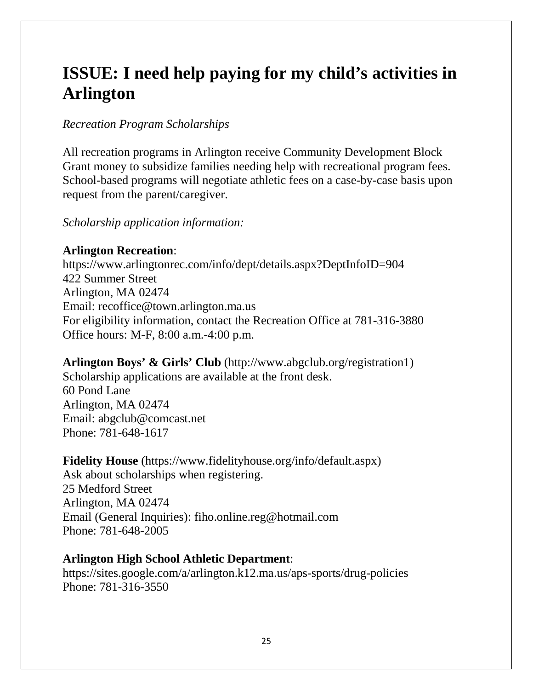# **ISSUE: I need help paying for my child's activities in Arlington**

# *Recreation Program Scholarships*

All recreation programs in Arlington receive Community Development Block Grant money to subsidize families needing help with recreational program fees. School-based programs will negotiate athletic fees on a case-by-case basis upon request from the parent/caregiver.

## *Scholarship application information:*

# **Arlington Recreation**:

<https://www.arlingtonrec.com/info/dept/details.aspx?DeptInfoID=904> 422 Summer Street Arlington, MA 02474 Email: recoffice@town.arlington.ma.us For eligibility information, contact the Recreation Office at 781-316-3880 Office hours: M-F, 8:00 a.m.-4:00 p.m.

# **Arlington Boys' & Girls' Club** [\(http://www.abgclub.org/registration1\)](http://www.abgclub.org/registration1)

Scholarship applications are available at the front desk. 60 Pond Lane Arlington, MA 02474 Email: abgclub@comcast.net Phone: 781-648-1617

## **Fidelity House** [\(https://www.fidelityhouse.org/info/default.aspx\)](https://www.fidelityhouse.org/info/default.aspx)

Ask about scholarships when registering. 25 Medford Street Arlington, MA 02474 Email (General Inquiries): fiho.online.reg@hotmail.com Phone: 781-648-2005

## **Arlington High School Athletic Department**:

<https://sites.google.com/a/arlington.k12.ma.us/aps-sports/drug-policies> Phone: 781-316-3550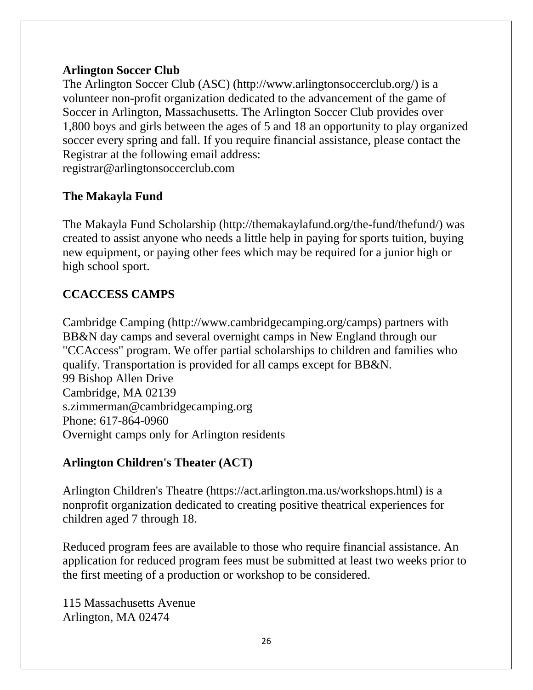# **Arlington Soccer Club**

The Arlington Soccer Club (ASC) (http://www.arlingtonsoccerclub.org/) is a volunteer non-profit organization dedicated to the advancement of the game of Soccer in Arlington, Massachusetts. The Arlington Soccer Club provides over 1,800 boys and girls between the ages of 5 and 18 an opportunity to play organized soccer every spring and fall. If you require financial assistance, please contact the Registrar at the following email address: [registrar@arlingtonsoccerclub.com](mailto:registrar@arlingtonsoccerclub.com)

# **The Makayla Fund**

The Makayla Fund Scholarship (http://themakaylafund.org/the-fund/thefund/) was created to assist anyone who needs a little help in paying for sports tuition, buying new equipment, or paying other fees which may be required for a junior high or high school sport.

# **CCACCESS CAMPS**

Cambridge Camping (http://www.cambridgecamping.org/camps) partners with BB&N day camps and several overnight camps in New England through our "CCAccess" program. We offer partial scholarships to children and families who qualify. Transportation is provided for all camps except for BB&N. 99 Bishop Allen Drive Cambridge, MA 02139 s.zimmerman@cambridgecamping.org Phone: 617-864-0960 Overnight camps only for Arlington residents

# **Arlington Children's Theater (ACT)**

Arlington Children's Theatre (https://act.arlington.ma.us/workshops.html) is a nonprofit organization dedicated to creating positive theatrical experiences for children aged 7 through 18.

Reduced program fees are available to those who require financial assistance. An application for reduced program fees must be submitted at least two weeks prior to the first meeting of a production or workshop to be considered.

115 Massachusetts Avenue Arlington, MA 02474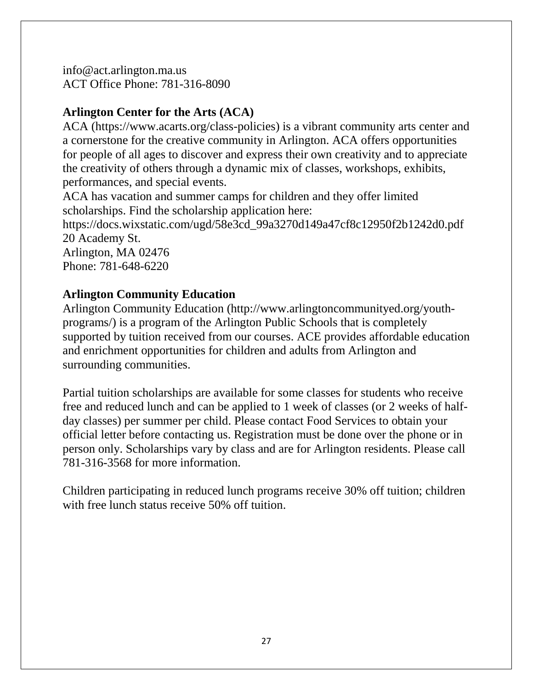info@act.arlington.ma.us ACT Office Phone: 781-316-8090

# **Arlington Center for the Arts (ACA)**

ACA (https://www.acarts.org/class-policies) is a vibrant community arts center and a cornerstone for the creative community in Arlington. ACA offers opportunities for people of all ages to discover and express their own creativity and to appreciate the creativity of others through a dynamic mix of classes, workshops, exhibits, performances, and special events.

ACA has vacation and summer camps for children and they offer limited scholarships. Find the scholarship application here:

[https://docs.wixstatic.com/ugd/58e3cd\\_99a3270d149a47cf8c12950f2b1242d0.pdf](https://docs.wixstatic.com/ugd/58e3cd_99a3270d149a47cf8c12950f2b1242d0.pdf) 20 Academy St.

Arlington, MA 02476 Phone: 781-648-6220

# **Arlington Community Education**

Arlington Community Education (http://www.arlingtoncommunityed.org/youthprograms/) is a program of the Arlington Public Schools that is completely supported by tuition received from our courses. ACE provides affordable education and enrichment opportunities for children and adults from Arlington and surrounding communities.

Partial tuition scholarships are available for some classes for students who receive free and reduced lunch and can be applied to 1 week of classes (or 2 weeks of halfday classes) per summer per child. Please contact Food Services to obtain your official letter before contacting us. Registration must be done over the phone or in person only. Scholarships vary by class and are for Arlington residents. Please call 781-316-3568 for more information.

Children participating in reduced lunch programs receive 30% off tuition; children with free lunch status receive 50% off tuition.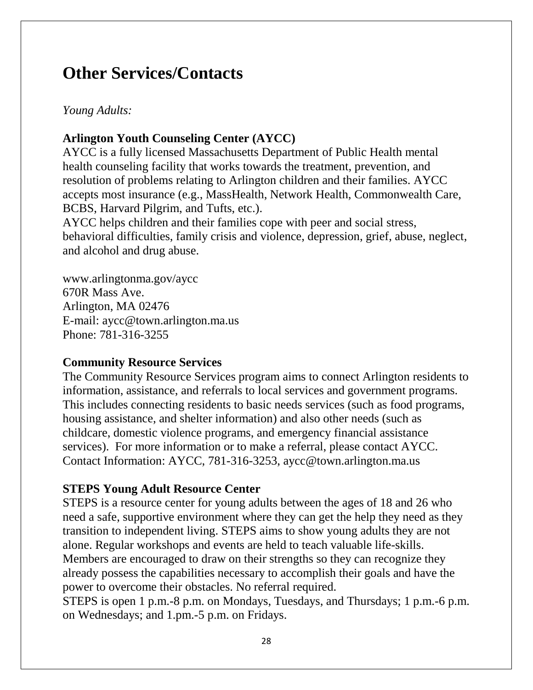# **Other Services/Contacts**

# *Young Adults:*

# **Arlington Youth Counseling Center (AYCC)**

AYCC is a fully licensed Massachusetts Department of Public Health mental health counseling facility that works towards the treatment, prevention, and resolution of problems relating to Arlington children and their families. AYCC accepts most insurance (e.g., MassHealth, Network Health, Commonwealth Care, BCBS, Harvard Pilgrim, and Tufts, etc.).

AYCC helps children and their families cope with peer and social stress, behavioral difficulties, family crisis and violence, depression, grief, abuse, neglect, and alcohol and drug abuse.

www.arlingtonma.gov/aycc 670R Mass Ave. Arlington, MA 02476 E-mail: [aycc@town.arlington.ma.us](mailto:aycc@town.arlington.ma.us) Phone: 781-316-3255

## **Community Resource Services**

The Community Resource Services program aims to connect Arlington residents to information, assistance, and referrals to local services and government programs. This includes connecting residents to basic needs services (such as food programs, housing assistance, and shelter information) and also other needs (such as childcare, domestic violence programs, and emergency financial assistance services). For more information or to make a referral, please contact AYCC. Contact Information: AYCC, 781-316-3253, [aycc@town.arlington.ma.us](mailto:aycc@town.arlington.ma.us)

## **STEPS Young Adult Resource Center**

STEPS is a resource center for young adults between the ages of 18 and 26 who need a safe, supportive environment where they can get the help they need as they transition to independent living. STEPS aims to show young adults they are not alone. Regular workshops and events are held to teach valuable life-skills. Members are encouraged to draw on their strengths so they can recognize they already possess the capabilities necessary to accomplish their goals and have the power to overcome their obstacles. No referral required.

STEPS is open 1 p.m.-8 p.m. on Mondays, Tuesdays, and Thursdays; 1 p.m.-6 p.m. on Wednesdays; and 1.pm.-5 p.m. on Fridays.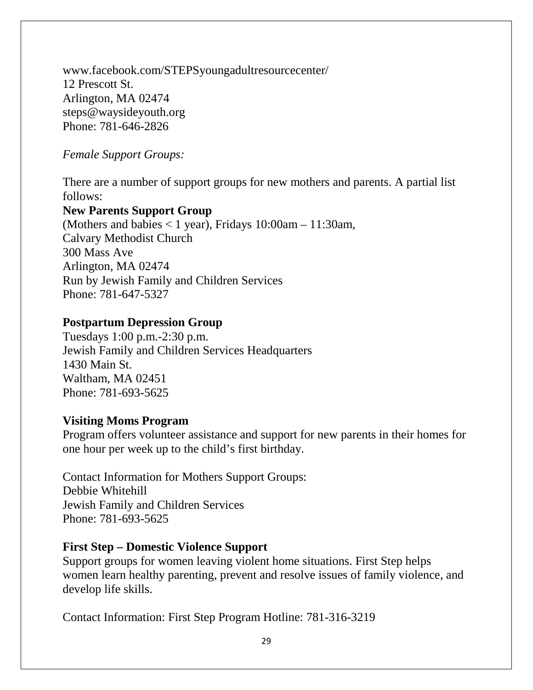www.facebook.com/STEPSyoungadultresourcecenter/ 12 Prescott St. Arlington, MA 02474 steps@waysideyouth.org Phone: 781-646-2826

# *Female Support Groups:*

There are a number of support groups for new mothers and parents. A partial list follows:

## **New Parents Support Group**

(Mothers and babies < 1 year), Fridays 10:00am – 11:30am, Calvary Methodist Church 300 Mass Ave Arlington, MA 02474 Run by Jewish Family and Children Services Phone: 781-647-5327

# **Postpartum Depression Group**

Tuesdays 1:00 p.m.-2:30 p.m. Jewish Family and Children Services Headquarters 1430 Main St. Waltham, MA 02451 Phone: 781-693-5625

## **Visiting Moms Program**

Program offers volunteer assistance and support for new parents in their homes for one hour per week up to the child's first birthday.

Contact Information for Mothers Support Groups: Debbie Whitehill Jewish Family and Children Services Phone: 781-693-5625

## **First Step – Domestic Violence Support**

Support groups for women leaving violent home situations. First Step helps women learn healthy parenting, prevent and resolve issues of family violence, and develop life skills.

Contact Information: First Step Program Hotline: 781-316-3219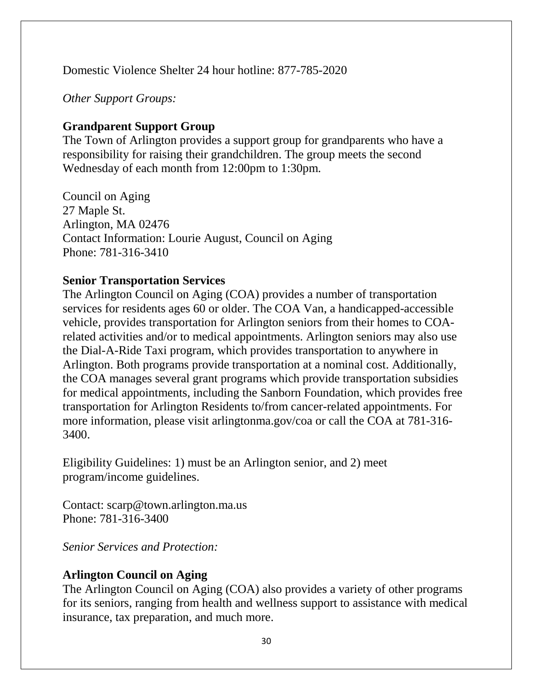Domestic Violence Shelter 24 hour hotline: 877-785-2020

*Other Support Groups:*

# **Grandparent Support Group**

The Town of Arlington provides a support group for grandparents who have a responsibility for raising their grandchildren. The group meets the second Wednesday of each month from 12:00pm to 1:30pm.

Council on Aging 27 Maple St. Arlington, MA 02476 Contact Information: Lourie August, Council on Aging Phone: 781-316-3410

# **Senior Transportation Services**

The Arlington Council on Aging (COA) provides a number of transportation services for residents ages 60 or older. The COA Van, a handicapped-accessible vehicle, provides transportation for Arlington seniors from their homes to COArelated activities and/or to medical appointments. Arlington seniors may also use the Dial-A-Ride Taxi program, which provides transportation to anywhere in Arlington. Both programs provide transportation at a nominal cost. Additionally, the COA manages several grant programs which provide transportation subsidies for medical appointments, including the Sanborn Foundation, which provides free transportation for Arlington Residents to/from cancer-related appointments. For more information, please visit arlingtonma.gov/coa or call the COA at 781-316- 3400.

Eligibility Guidelines: 1) must be an Arlington senior, and 2) meet program/income guidelines.

Contact: scarp@town.arlington.ma.us Phone: 781-316-3400

*Senior Services and Protection:*

# **Arlington Council on Aging**

The Arlington Council on Aging (COA) also provides a variety of other programs for its seniors, ranging from health and wellness support to assistance with medical insurance, tax preparation, and much more.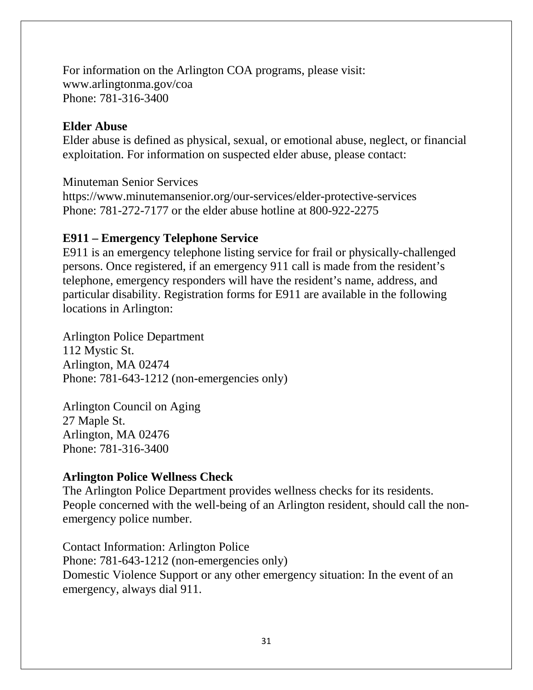For information on the Arlington COA programs, please visit: www.arlingtonma.gov/coa Phone: 781-316-3400

## **Elder Abuse**

Elder abuse is defined as physical, sexual, or emotional abuse, neglect, or financial exploitation. For information on suspected elder abuse, please contact:

Minuteman Senior Services

https://www.minutemansenior.org/our-services/elder-protective-services Phone: 781-272-7177 or the elder abuse hotline at 800-922-2275

# **E911 – Emergency Telephone Service**

E911 is an emergency telephone listing service for frail or physically-challenged persons. Once registered, if an emergency 911 call is made from the resident's telephone, emergency responders will have the resident's name, address, and particular disability. Registration forms for E911 are available in the following locations in Arlington:

Arlington Police Department 112 Mystic St. Arlington, MA 02474 Phone: 781-643-1212 (non-emergencies only)

Arlington Council on Aging 27 Maple St. Arlington, MA 02476 Phone: 781-316-3400

# **Arlington Police Wellness Check**

The Arlington Police Department provides wellness checks for its residents. People concerned with the well-being of an Arlington resident, should call the nonemergency police number.

Contact Information: Arlington Police Phone: 781-643-1212 (non-emergencies only) Domestic Violence Support or any other emergency situation: In the event of an emergency, always dial 911.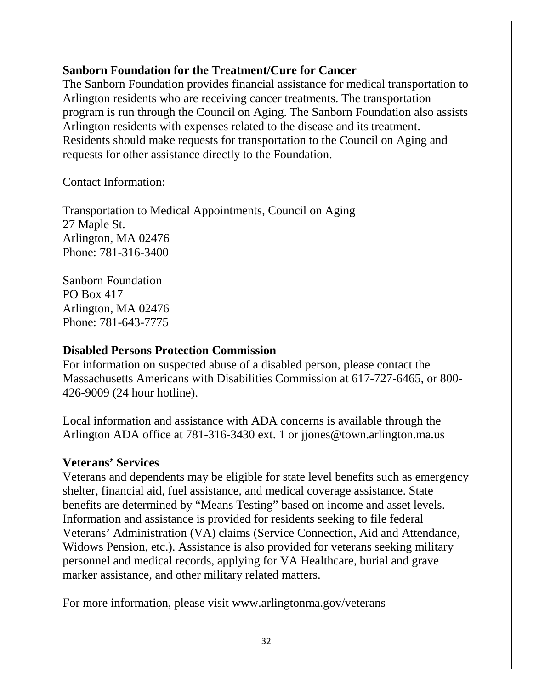# **Sanborn Foundation for the Treatment/Cure for Cancer**

The Sanborn Foundation provides financial assistance for medical transportation to Arlington residents who are receiving cancer treatments. The transportation program is run through the Council on Aging. The Sanborn Foundation also assists Arlington residents with expenses related to the disease and its treatment. Residents should make requests for transportation to the Council on Aging and requests for other assistance directly to the Foundation.

Contact Information:

Transportation to Medical Appointments, Council on Aging 27 Maple St. Arlington, MA 02476 Phone: 781-316-3400

Sanborn Foundation PO Box 417 Arlington, MA 02476 Phone: 781-643-7775

## **Disabled Persons Protection Commission**

For information on suspected abuse of a disabled person, please contact the Massachusetts Americans with Disabilities Commission at 617-727-6465, or 800- 426-9009 (24 hour hotline).

Local information and assistance with ADA concerns is available through the Arlington ADA office at 781-316-3430 ext. 1 or [jjones@town.arlington.ma.us](mailto:jjones@town.arlington.ma.us)

## **Veterans' Services**

Veterans and dependents may be eligible for state level benefits such as emergency shelter, financial aid, fuel assistance, and medical coverage assistance. State benefits are determined by "Means Testing" based on income and asset levels. Information and assistance is provided for residents seeking to file federal Veterans' Administration (VA) claims (Service Connection, Aid and Attendance, Widows Pension, etc.). Assistance is also provided for veterans seeking military personnel and medical records, applying for VA Healthcare, burial and grave marker assistance, and other military related matters.

For more information, please visit www.arlingtonma.gov/veterans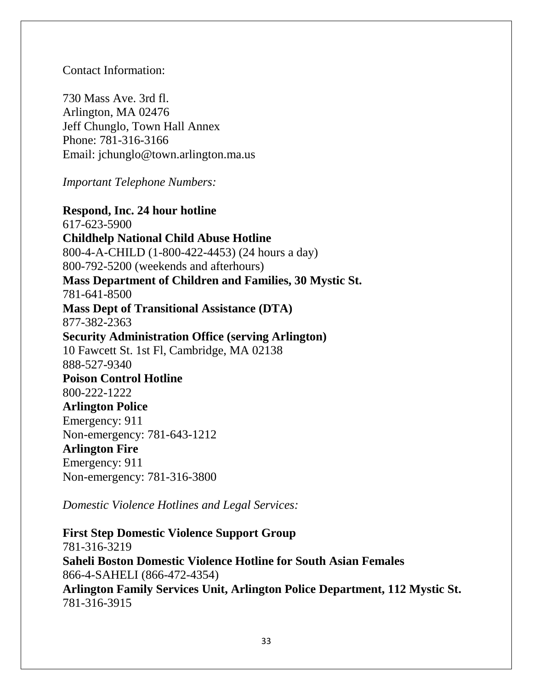Contact Information:

730 Mass Ave. 3rd fl. Arlington, MA 02476 Jeff Chunglo, Town Hall Annex Phone: 781-316-3166 Email: [jchunglo@town.arlington.ma.us](mailto:jchunglo@town.arlington.ma.us)

*Important Telephone Numbers:*

**Respond, Inc. 24 hour hotline**  617-623-5900 **Childhelp National Child Abuse Hotline** 800-4-A-CHILD (1-800-422-4453) (24 hours a day) 800-792-5200 (weekends and afterhours) **Mass Department of Children and Families, 30 Mystic St.** 781-641-8500 **Mass Dept of Transitional Assistance (DTA)**  877-382-2363 **Security Administration Office (serving Arlington)** 10 Fawcett St. 1st Fl, Cambridge, MA 02138 888-527-9340 **Poison Control Hotline**  800-222-1222 **Arlington Police** Emergency: 911 Non-emergency: 781-643-1212 **Arlington Fire**  Emergency: 911 Non-emergency: 781-316-3800

*Domestic Violence Hotlines and Legal Services:*

**First Step Domestic Violence Support Group**  781-316-3219 **Saheli Boston Domestic Violence Hotline for South Asian Females** 866-4-SAHELI (866-472-4354) **Arlington Family Services Unit, Arlington Police Department, 112 Mystic St.** 781-316-3915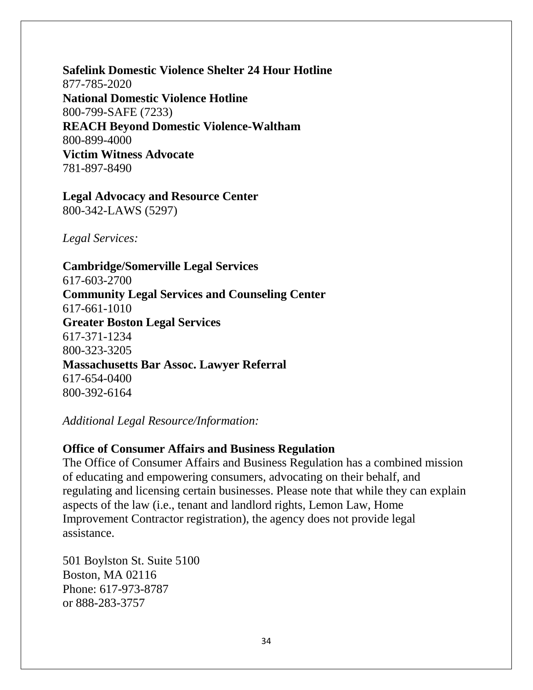**Safelink Domestic Violence Shelter 24 Hour Hotline** 877-785-2020 **National Domestic Violence Hotline** 800-799-SAFE (7233) **REACH Beyond Domestic Violence-Waltham**  800-899-4000 **Victim Witness Advocate** 781-897-8490

#### **Legal Advocacy and Resource Center** 800-342-LAWS (5297)

*Legal Services:*

**Cambridge/Somerville Legal Services**  617-603-2700 **Community Legal Services and Counseling Center** 617-661-1010 **Greater Boston Legal Services**  617-371-1234 800-323-3205 **Massachusetts Bar Assoc. Lawyer Referral**  617-654-0400 800-392-6164

#### *Additional Legal Resource/Information:*

#### **Office of Consumer Affairs and Business Regulation**

The Office of Consumer Affairs and Business Regulation has a combined mission of educating and empowering consumers, advocating on their behalf, and regulating and licensing certain businesses. Please note that while they can explain aspects of the law (i.e., tenant and landlord rights, Lemon Law, Home Improvement Contractor registration), the agency does not provide legal assistance.

501 Boylston St. Suite 5100 Boston, MA 02116 Phone: 617-973-8787 or 888-283-3757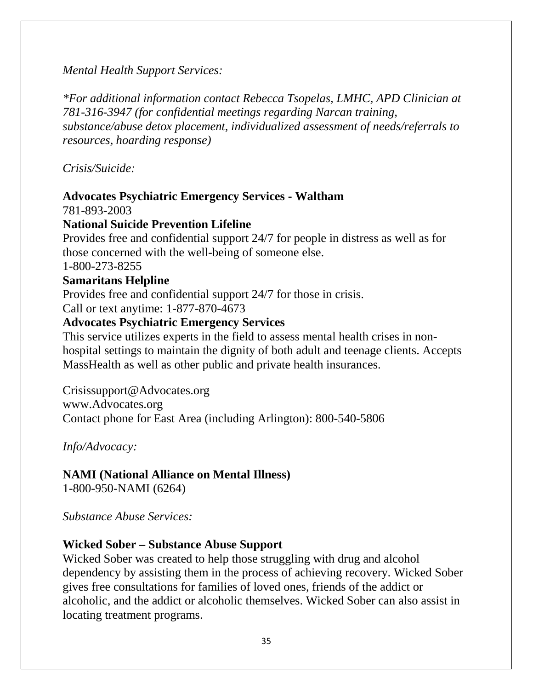*Mental Health Support Services:*

*\*For additional information contact Rebecca Tsopelas, LMHC, APD Clinician at 781-316-3947 (for confidential meetings regarding Narcan training, substance/abuse detox placement, individualized assessment of needs/referrals to resources, hoarding response)*

*Crisis/Suicide:*

# **Advocates Psychiatric Emergency Services - Waltham**

781-893-2003

# **National Suicide Prevention Lifeline**

Provides free and confidential support 24/7 for people in distress as well as for those concerned with the well-being of someone else.

1-800-273-8255

# **Samaritans Helpline**

Provides free and confidential support 24/7 for those in crisis. Call or text anytime: 1-877-870-4673

# **Advocates Psychiatric Emergency Services**

This service utilizes experts in the field to assess mental health crises in nonhospital settings to maintain the dignity of both adult and teenage clients. Accepts MassHealth as well as other public and private health insurances.

[Crisissupport@Advocates.org](mailto:Crisissupport@Advocates.org) [www.Advocates.org](http://www.advocates.org/) Contact phone for East Area (including Arlington): 800-540-5806

*Info/Advocacy:*

# **NAMI (National Alliance on Mental Illness)**

1-800-950-NAMI (6264)

*Substance Abuse Services:*

# **Wicked Sober – Substance Abuse Support**

Wicked Sober was created to help those struggling with drug and alcohol dependency by assisting them in the process of achieving recovery. Wicked Sober gives free consultations for families of loved ones, friends of the addict or alcoholic, and the addict or alcoholic themselves. Wicked Sober can also assist in locating treatment programs.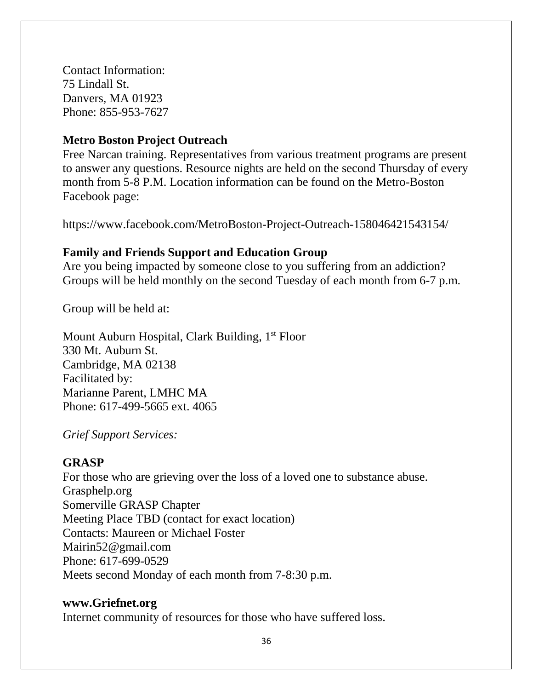Contact Information: 75 Lindall St. Danvers, MA 01923 Phone: 855-953-7627

### **Metro Boston Project Outreach**

Free Narcan training. Representatives from various treatment programs are present to answer any questions. Resource nights are held on the second Thursday of every month from 5-8 P.M. Location information can be found on the Metro-Boston Facebook page:

https://www.facebook.com/MetroBoston-Project-Outreach-158046421543154/

### **Family and Friends Support and Education Group**

Are you being impacted by someone close to you suffering from an addiction? Groups will be held monthly on the second Tuesday of each month from 6-7 p.m.

Group will be held at:

Mount Auburn Hospital, Clark Building, 1<sup>st</sup> Floor 330 Mt. Auburn St. Cambridge, MA 02138 Facilitated by: Marianne Parent, LMHC MA Phone: 617-499-5665 ext. 4065

*Grief Support Services:*

#### **GRASP**

For those who are grieving over the loss of a loved one to substance abuse. Grasphelp.org Somerville GRASP Chapter Meeting Place TBD (contact for exact location) Contacts: Maureen or Michael Foster [Mairin52@gmail.com](mailto:Mairin52@gmail.com) Phone: 617-699-0529 Meets second Monday of each month from 7-8:30 p.m.

## **www.Griefnet.org**

Internet community of resources for those who have suffered loss.